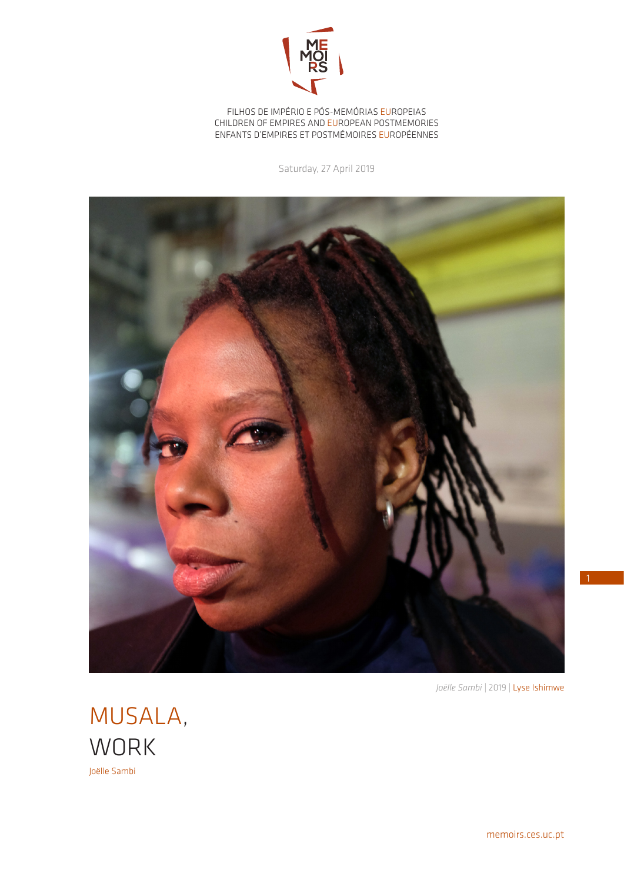

FILHOS DE IMPÉRIO E PÓS-MEMÓRIAS EUROPEIAS CHILDREN OF EMPIRES AND EUROPEAN POSTMEMORIES ENFANTS D'EMPIRES ET POSTMÉMOIRES EUROPÉENNES

Saturday, 27 April 2019



*Joëlle Sambi* | 2019 | Lyse Ishimwe

MUSALA, **WORK** Joëlle Sambi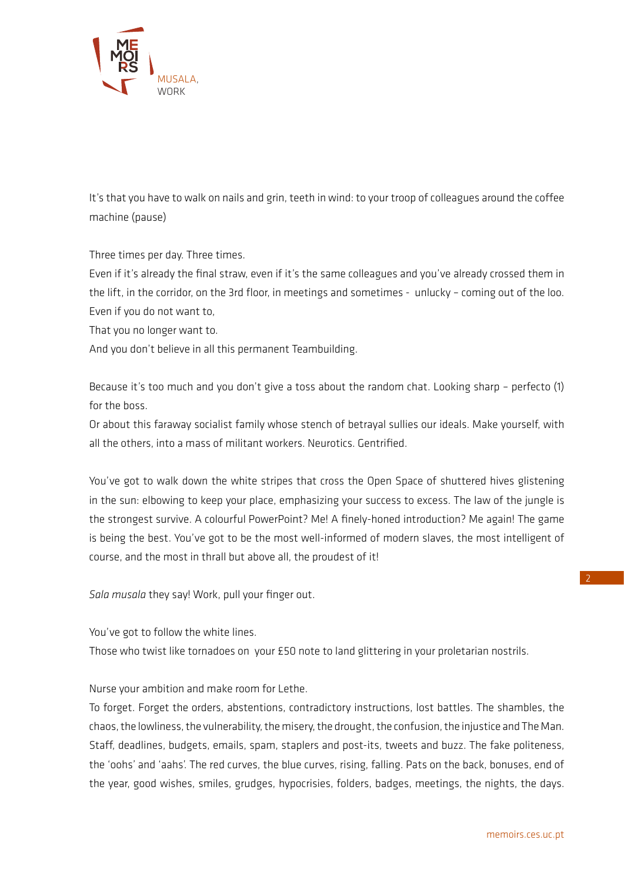

It's that you have to walk on nails and grin, teeth in wind: to your troop of colleagues around the coffee machine (pause)

Three times per day. Three times.

Even if it's already the final straw, even if it's the same colleagues and you've already crossed them in the lift, in the corridor, on the 3rd floor, in meetings and sometimes - unlucky – coming out of the loo. Even if you do not want to,

That you no longer want to.

And you don't believe in all this permanent Teambuilding.

Because it's too much and you don't give a toss about the random chat. Looking sharp - perfecto (1) for the boss.

Or about this faraway socialist family whose stench of betrayal sullies our ideals. Make yourself, with all the others, into a mass of militant workers. Neurotics. Gentrified.

You've got to walk down the white stripes that cross the Open Space of shuttered hives glistening in the sun: elbowing to keep your place, emphasizing your success to excess. The law of the jungle is the strongest survive. A colourful PowerPoint? Me! A finely-honed introduction? Me again! The game is being the best. You've got to be the most well-informed of modern slaves, the most intelligent of course, and the most in thrall but above all, the proudest of it!

*Sala musala* they say! Work, pull your finger out.

You've got to follow the white lines.

Those who twist like tornadoes on your £50 note to land glittering in your proletarian nostrils.

Nurse your ambition and make room for Lethe.

To forget. Forget the orders, abstentions, contradictory instructions, lost battles. The shambles, the chaos, the lowliness, the vulnerability, the misery, the drought, the confusion, the injustice and The Man. Staff, deadlines, budgets, emails, spam, staplers and post-its, tweets and buzz. The fake politeness, the 'oohs' and 'aahs'. The red curves, the blue curves, rising, falling. Pats on the back, bonuses, end of the year, good wishes, smiles, grudges, hypocrisies, folders, badges, meetings, the nights, the days.